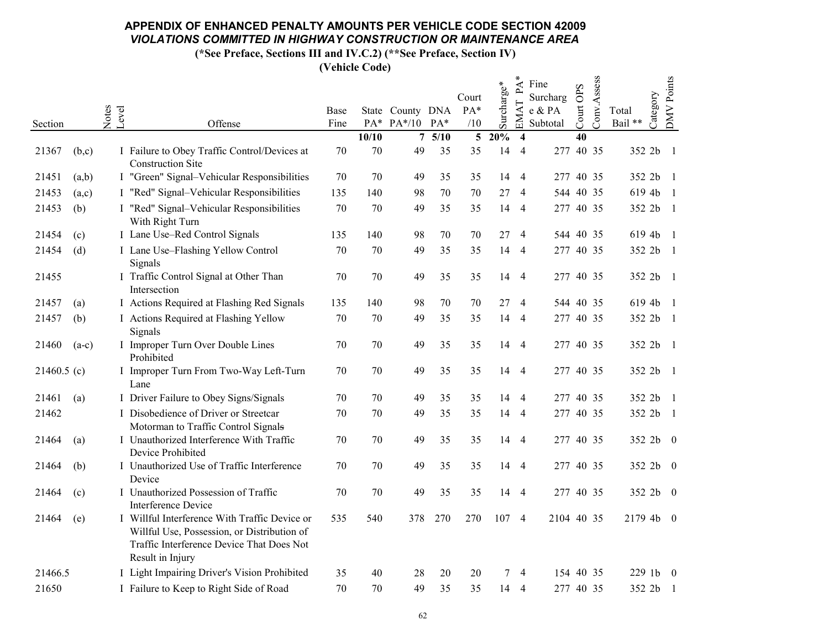(\*See Preface, Sections III and IV.C.2) (\*\*See Preface, Section IV)

|               |         |       |                                                                                                                                                               |        |       |                  |       | Court          |                        | $\rm \AA^*$<br>ല്       | Fine<br>Surcharg |           | Conv.Assess |                   | <b>DMV</b> Points |
|---------------|---------|-------|---------------------------------------------------------------------------------------------------------------------------------------------------------------|--------|-------|------------------|-------|----------------|------------------------|-------------------------|------------------|-----------|-------------|-------------------|-------------------|
|               |         | Notes |                                                                                                                                                               | Base   |       | State County DNA |       | $PA*$          | $\mathrm{Surcharge}^*$ | EMAT                    | e & PA           | Court OPS |             | Category<br>Total |                   |
| Section       |         |       | Level<br>Offense                                                                                                                                              | Fine   |       | PA* PA*/10 PA*   |       | /10            |                        |                         | Subtotal         |           |             | Bail **           |                   |
|               |         |       |                                                                                                                                                               |        | 10/10 |                  | 75/10 | 5 <sup>5</sup> | 20%                    | $\overline{\mathbf{4}}$ |                  | 40        |             |                   |                   |
| 21367         | (b,c)   |       | I Failure to Obey Traffic Control/Devices at<br><b>Construction Site</b>                                                                                      | 70     | 70    | 49               | 35    | 35             | 14                     | $\overline{4}$          | 277 40 35        |           |             | 352 2b            | -1                |
| 21451         | (a,b)   |       | I "Green" Signal-Vehicular Responsibilities                                                                                                                   | 70     | 70    | 49               | 35    | 35             | 14 4                   |                         | 277 40 35        |           |             | 352 2b 1          |                   |
| 21453         | (a,c)   |       | I "Red" Signal-Vehicular Responsibilities                                                                                                                     | 135    | 140   | 98               | 70    | 70             | 27                     | $\overline{4}$          | 544 40 35        |           |             | 619 4b            | $\overline{1}$    |
| 21453         | (b)     |       | I "Red" Signal-Vehicular Responsibilities<br>With Right Turn                                                                                                  | 70     | 70    | 49               | 35    | 35             | 14 4                   |                         | 277 40 35        |           |             | 352 2b            | $\blacksquare$    |
| 21454         | (c)     |       | I Lane Use-Red Control Signals                                                                                                                                | 135    | 140   | 98               | 70    | 70             | 27                     | $\overline{4}$          | 544 40 35        |           |             | 619 4b            | $\overline{1}$    |
| 21454         | (d)     |       | I Lane Use-Flashing Yellow Control<br>Signals                                                                                                                 | 70     | 70    | 49               | 35    | 35             | 14                     | $\overline{4}$          | 277 40 35        |           |             | 352 2b            | -1                |
| 21455         |         |       | I Traffic Control Signal at Other Than<br>Intersection                                                                                                        | 70     | 70    | 49               | 35    | 35             | 14                     | $\overline{4}$          | 277 40 35        |           |             | 352 2b 1          |                   |
| 21457         | (a)     |       | I Actions Required at Flashing Red Signals                                                                                                                    | 135    | 140   | 98               | 70    | 70             | 27                     | $\overline{4}$          | 544 40 35        |           |             | 619 4b            | -1                |
| 21457         | (b)     |       | I Actions Required at Flashing Yellow<br>Signals                                                                                                              | 70     | 70    | 49               | 35    | 35             |                        | 14 4                    | 277 40 35        |           |             | 352 2b 1          |                   |
| 21460         | $(a-c)$ |       | I Improper Turn Over Double Lines<br>Prohibited                                                                                                               | 70     | 70    | 49               | 35    | 35             | 14 4                   |                         | 277 40 35        |           |             | 352 2b            | $\overline{1}$    |
| $21460.5$ (c) |         |       | I Improper Turn From Two-Way Left-Turn<br>Lane                                                                                                                | 70     | 70    | 49               | 35    | 35             | 14 4                   |                         | 277 40 35        |           |             | 352 2b 1          |                   |
| 21461         | (a)     |       | I Driver Failure to Obey Signs/Signals                                                                                                                        | 70     | 70    | 49               | 35    | 35             |                        | 14 4                    | 277 40 35        |           |             | 352 2b 1          |                   |
| 21462         |         |       | I Disobedience of Driver or Streetcar<br>Motorman to Traffic Control Signals                                                                                  | 70     | 70    | 49               | 35    | 35             | 14 4                   |                         | 277 40 35        |           |             | 352 2b 1          |                   |
| 21464         | (a)     |       | I Unauthorized Interference With Traffic<br>Device Prohibited                                                                                                 | 70     | 70    | 49               | 35    | 35             | 14 4                   |                         | 277 40 35        |           |             | 352 2b 0          |                   |
| 21464         | (b)     |       | I Unauthorized Use of Traffic Interference<br>Device                                                                                                          | 70     | 70    | 49               | 35    | 35             | 14 4                   |                         | 277 40 35        |           |             | 352 2b 0          |                   |
| 21464         | (c)     |       | I Unauthorized Possession of Traffic<br><b>Interference Device</b>                                                                                            | 70     | 70    | 49               | 35    | 35             |                        | 14 4                    | 277 40 35        |           |             | 352 2b 0          |                   |
| 21464         | (e)     |       | I Willful Interference With Traffic Device or<br>Willful Use, Possession, or Distribution of<br>Traffic Interference Device That Does Not<br>Result in Injury | 535    | 540   | 378              | 270   | 270            | 107 4                  |                         | 2104 40 35       |           |             | 2179 4b 0         |                   |
| 21466.5       |         |       | I Light Impairing Driver's Vision Prohibited                                                                                                                  | 35     | 40    | 28               | 20    | 20             | 7                      | 4                       | 154 40 35        |           |             | 229 1b 0          |                   |
| 21650         |         |       | I Failure to Keep to Right Side of Road                                                                                                                       | $70\,$ | 70    | 49               | 35    | 35             | 14                     | -4                      | 277 40 35        |           |             | 352 2b            | -1                |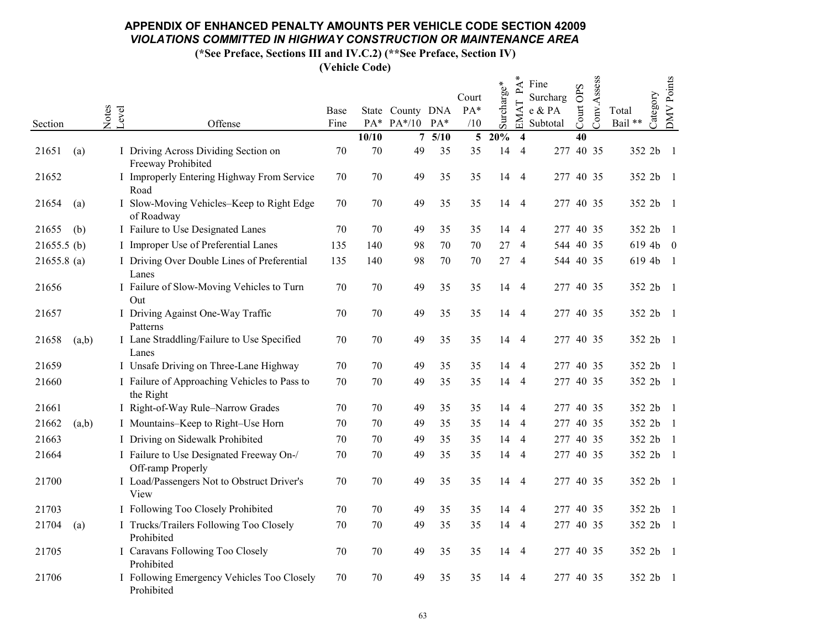(\*See Preface, Sections III and IV.C.2) (\*\*See Preface, Section IV)

|                |                                                               |      |       |                  |        | Court          |                        | ⋖<br>ച                  | Fine<br>Surcharg |           | Conv.Assess |         |           | DMV Points     |
|----------------|---------------------------------------------------------------|------|-------|------------------|--------|----------------|------------------------|-------------------------|------------------|-----------|-------------|---------|-----------|----------------|
|                | Notes<br>Level                                                | Base |       | State County DNA |        | PA*            | $\mathrm{Surcharge}^*$ | EMAT                    | e & PA           | Court OPS |             | Total   | Category  |                |
| Section        | Offense                                                       | Fine |       | PA* PA*/10 PA*   |        | /10            |                        |                         | Subtotal         |           |             | Bail ** |           |                |
|                |                                                               |      | 10/10 |                  | 75/10  | 5 <sup>5</sup> | 20%                    | $\overline{\mathbf{4}}$ |                  | 40        |             |         |           |                |
| 21651<br>(a)   | I Driving Across Dividing Section on<br>Freeway Prohibited    | 70   | 70    | 49               | 35     | 35             | 14                     | $\overline{4}$          | 277 40 35        |           |             |         | 352 2b    | -1             |
| 21652          | I Improperly Entering Highway From Service<br>Road            | 70   | 70    | 49               | 35     | 35             |                        | 14 4                    |                  |           | 277 40 35   |         | 352 2b 1  |                |
| 21654<br>(a)   | I Slow-Moving Vehicles-Keep to Right Edge<br>of Roadway       | 70   | 70    | 49               | 35     | 35             |                        | 14 4                    |                  |           | 277 40 35   |         | 352 2b 1  |                |
| 21655<br>(b)   | I Failure to Use Designated Lanes                             | 70   | 70    | 49               | 35     | 35             | 14                     | $\overline{4}$          |                  |           | 277 40 35   |         | 352 2b    | $\overline{1}$ |
| $21655.5$ (b)  | I Improper Use of Preferential Lanes                          | 135  | 140   | 98               | 70     | 70             | 27                     | $\overline{4}$          |                  |           | 544 40 35   |         | $6194b$ 0 |                |
| $21655.8$ (a)  | I Driving Over Double Lines of Preferential<br>Lanes          | 135  | 140   | 98               | $70\,$ | 70             |                        | 274                     |                  |           | 544 40 35   |         | 619 4b 1  |                |
| 21656          | I Failure of Slow-Moving Vehicles to Turn<br>Out              | 70   | 70    | 49               | 35     | 35             |                        | 14 4                    |                  |           | 277 40 35   |         | 352 2b 1  |                |
| 21657          | I Driving Against One-Way Traffic<br>Patterns                 | 70   | 70    | 49               | 35     | 35             |                        | 14 4                    | 277 40 35        |           |             |         | 352 2b 1  |                |
| 21658<br>(a,b) | I Lane Straddling/Failure to Use Specified<br>Lanes           | 70   | 70    | 49               | 35     | 35             |                        | 14 4                    |                  |           | 277 40 35   |         | 352 2b 1  |                |
| 21659          | I Unsafe Driving on Three-Lane Highway                        | 70   | 70    | 49               | 35     | 35             | 14                     | $\overline{4}$          |                  |           | 277 40 35   |         | 352 2b 1  |                |
| 21660          | I Failure of Approaching Vehicles to Pass to<br>the Right     | 70   | 70    | 49               | 35     | 35             |                        | 14 4                    |                  |           | 277 40 35   |         | 352 2b    | -1             |
| 21661          | I Right-of-Way Rule-Narrow Grades                             | 70   | 70    | 49               | 35     | 35             | 14                     | $\overline{4}$          |                  |           | 277 40 35   |         | 352 2b 1  |                |
| 21662<br>(a,b) | I Mountains-Keep to Right-Use Horn                            | 70   | 70    | 49               | 35     | 35             | 14                     | $\overline{4}$          |                  |           | 277 40 35   |         | 352 2b    | -1             |
| 21663          | I Driving on Sidewalk Prohibited                              | 70   | 70    | 49               | 35     | 35             | 14                     | $\overline{4}$          |                  |           | 277 40 35   |         | 352 2b 1  |                |
| 21664          | I Failure to Use Designated Freeway On-/<br>Off-ramp Properly | 70   | 70    | 49               | 35     | 35             |                        | 14 4                    |                  |           | 277 40 35   |         | 352 2b    | -1             |
| 21700          | I Load/Passengers Not to Obstruct Driver's<br>View            | 70   | 70    | 49               | 35     | 35             |                        | 14 4                    |                  |           | 277 40 35   |         | 352 2b 1  |                |
| 21703          | I Following Too Closely Prohibited                            | 70   | 70    | 49               | 35     | 35             |                        | 14 4                    |                  |           | 277 40 35   |         | 352 2b 1  |                |
| 21704<br>(a)   | I Trucks/Trailers Following Too Closely<br>Prohibited         | 70   | 70    | 49               | 35     | 35             |                        | 14 4                    |                  |           | 277 40 35   |         | 352 2b 1  |                |
| 21705          | I Caravans Following Too Closely<br>Prohibited                | 70   | 70    | 49               | 35     | 35             |                        | 14 4                    |                  |           | 277 40 35   |         | 352 2b 1  |                |
| 21706          | I Following Emergency Vehicles Too Closely<br>Prohibited      | 70   | 70    | 49               | 35     | 35             |                        | 14 4                    |                  |           | 277 40 35   |         | 352 2b 1  |                |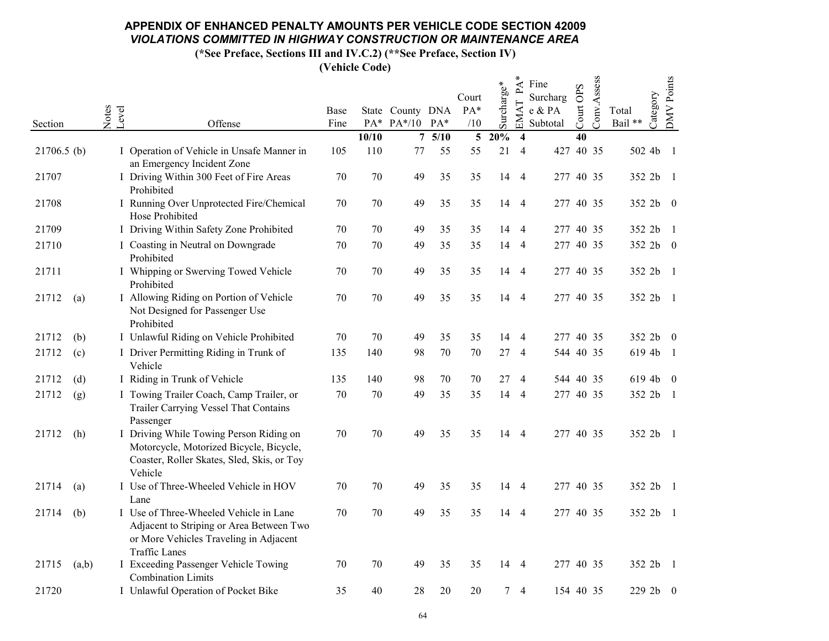(\*See Preface, Sections III and IV.C.2) (\*\*See Preface, Section IV)

|                |                                                                                                                                                      |              |        |                                             |       | Court          |             | $\mathsf{P}\mathsf{A}$ | Fine<br>Surcharg   |           |             |                              |                  |
|----------------|------------------------------------------------------------------------------------------------------------------------------------------------------|--------------|--------|---------------------------------------------|-------|----------------|-------------|------------------------|--------------------|-----------|-------------|------------------------------|------------------|
| Section        | Notes<br>Level<br>Offense                                                                                                                            | Base<br>Fine |        | State County DNA<br>$PA^*$ $PA^*/10$ $PA^*$ |       | PA*<br>/10     | Surcharge*  | EMAT                   | e & PA<br>Subtotal | Court OPS | Conv.Assess | Category<br>Total<br>Bail ** | DMV Points       |
|                |                                                                                                                                                      |              | 10/10  |                                             | 75/10 | 5 <sup>5</sup> | 20%         | $\overline{4}$         |                    | 40        |             |                              |                  |
| $21706.5$ (b)  | I Operation of Vehicle in Unsafe Manner in<br>an Emergency Incident Zone                                                                             | 105          | 110    | 77                                          | 55    | 55             | 21          | $\overline{4}$         | 427 40 35          |           |             | 502 4b                       | -1               |
| 21707          | I Driving Within 300 Feet of Fire Areas<br>Prohibited                                                                                                | $70\,$       | 70     | 49                                          | 35    | 35             |             | 14 4                   | 277 40 35          |           |             | 352 2b 1                     |                  |
| 21708          | I Running Over Unprotected Fire/Chemical<br>Hose Prohibited                                                                                          | 70           | 70     | 49                                          | 35    | 35             |             | 14 4                   | 277 40 35          |           |             | 352 2b 0                     |                  |
| 21709          | I Driving Within Safety Zone Prohibited                                                                                                              | 70           | 70     | 49                                          | 35    | 35             |             | 14 4                   | 277 40 35          |           |             | 352 2b                       | - 1              |
| 21710          | I Coasting in Neutral on Downgrade<br>Prohibited                                                                                                     | 70           | 70     | 49                                          | 35    | 35             |             | 14 4                   | 277 40 35          |           |             | 352 2b 0                     |                  |
| 21711          | I Whipping or Swerving Towed Vehicle<br>Prohibited                                                                                                   | 70           | 70     | 49                                          | 35    | 35             |             | 14 4                   | 277 40 35          |           |             | 352 2b                       | -1               |
| 21712<br>(a)   | I Allowing Riding on Portion of Vehicle<br>Not Designed for Passenger Use<br>Prohibited                                                              | 70           | $70\,$ | 49                                          | 35    | 35             |             | 14 4                   | 277 40 35          |           |             | 352 2b 1                     |                  |
| 21712<br>(b)   | I Unlawful Riding on Vehicle Prohibited                                                                                                              | 70           | 70     | 49                                          | 35    | 35             |             | 14 4                   | 277 40 35          |           |             | 352 2b 0                     |                  |
| 21712<br>(c)   | I Driver Permitting Riding in Trunk of<br>Vehicle                                                                                                    | 135          | 140    | 98                                          | 70    | 70             | 27          | $\overline{4}$         | 544 40 35          |           |             | 619 4b 1                     |                  |
| (d)<br>21712   | I Riding in Trunk of Vehicle                                                                                                                         | 135          | 140    | 98                                          | 70    | 70             |             | 27 4                   | 544 40 35          |           |             | 619 4b 0                     |                  |
| 21712<br>(g)   | I Towing Trailer Coach, Camp Trailer, or<br>Trailer Carrying Vessel That Contains<br>Passenger                                                       | 70           | 70     | 49                                          | 35    | 35             |             | 14 4                   | 277 40 35          |           |             | 352 2b 1                     |                  |
| 21712<br>(h)   | I Driving While Towing Person Riding on<br>Motorcycle, Motorized Bicycle, Bicycle,<br>Coaster, Roller Skates, Sled, Skis, or Toy<br>Vehicle          | 70           | 70     | 49                                          | 35    | 35             |             | 14 4                   | 277 40 35          |           |             | 352 2b 1                     |                  |
| 21714<br>(a)   | I Use of Three-Wheeled Vehicle in HOV<br>Lane                                                                                                        | 70           | 70     | 49                                          | 35    | 35             |             | 14 4                   | 277 40 35          |           |             | 352 2b 1                     |                  |
| (b)<br>21714   | I Use of Three-Wheeled Vehicle in Lane<br>Adjacent to Striping or Area Between Two<br>or More Vehicles Traveling in Adjacent<br><b>Traffic Lanes</b> | 70           | 70     | 49                                          | 35    | 35             |             | 14 4                   | 277 40 35          |           |             | 352 2b 1                     |                  |
| 21715<br>(a,b) | I Exceeding Passenger Vehicle Towing<br><b>Combination Limits</b>                                                                                    | 70           | 70     | 49                                          | 35    | 35             |             | 14 4                   | 277 40 35          |           |             | 352 2b                       | -1               |
| 21720          | I Unlawful Operation of Pocket Bike                                                                                                                  | 35           | 40     | 28                                          | 20    | 20             | $7^{\circ}$ | $\overline{4}$         | 154 40 35          |           |             | 229 2b                       | $\boldsymbol{0}$ |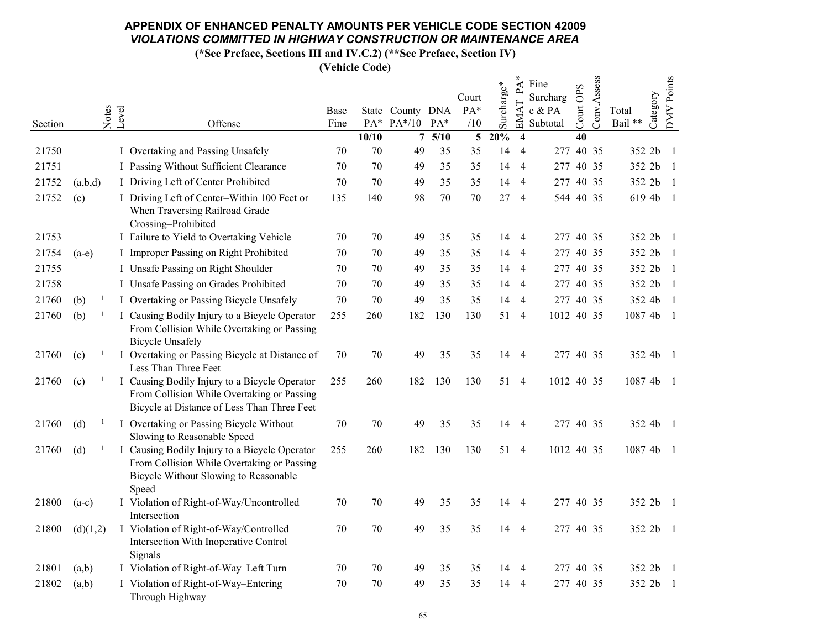(\*See Preface, Sections III and IV.C.2) (\*\*See Preface, Section IV)

|         |          |                |                                                                                                                                               |      |       |                  |       |                 |            | $PA^*$                  | Fine               |           | Conv.Assess |                   | <b>DMV</b> Points |
|---------|----------|----------------|-----------------------------------------------------------------------------------------------------------------------------------------------|------|-------|------------------|-------|-----------------|------------|-------------------------|--------------------|-----------|-------------|-------------------|-------------------|
|         |          |                |                                                                                                                                               | Base |       | State County DNA |       | Court<br>PA*    | Surcharge* |                         | Surcharg<br>e & PA | Court OPS |             | Category<br>Total |                   |
| Section |          | Notes<br>Level | Offense                                                                                                                                       | Fine | PA*   | $PA*/10$ $PA*$   |       | /10             |            | EMAT                    | Subtotal           |           |             | Bail **           |                   |
|         |          |                |                                                                                                                                               |      | 10/10 |                  | 75/10 | $5\overline{)}$ | 20%        | $\overline{\mathbf{4}}$ |                    | 40        |             |                   |                   |
| 21750   |          |                | I Overtaking and Passing Unsafely                                                                                                             | 70   | 70    | 49               | 35    | 35              | 14         | $\overline{4}$          | 277 40 35          |           |             | 352 2b 1          |                   |
| 21751   |          |                | I Passing Without Sufficient Clearance                                                                                                        | 70   | 70    | 49               | 35    | 35              | 14         | $\overline{4}$          | 277 40 35          |           |             | 352 2b            | -1                |
| 21752   | (a,b,d)  |                | I Driving Left of Center Prohibited                                                                                                           | 70   | 70    | 49               | 35    | 35              | 14         | $\overline{4}$          | 277 40 35          |           |             | 352 2b            | $\overline{1}$    |
| 21752   | (c)      |                | I Driving Left of Center-Within 100 Feet or<br>When Traversing Railroad Grade<br>Crossing-Prohibited                                          | 135  | 140   | 98               | 70    | 70              | 27         | $\overline{4}$          | 544 40 35          |           |             | 619 4b            | $\overline{1}$    |
| 21753   |          |                | I Failure to Yield to Overtaking Vehicle                                                                                                      | 70   | 70    | 49               | 35    | 35              | 14         | $\overline{4}$          | 277 40 35          |           |             | 352 2b 1          |                   |
| 21754   | $(a-e)$  |                | I Improper Passing on Right Prohibited                                                                                                        | 70   | 70    | 49               | 35    | 35              | 14         | $\overline{4}$          | 277 40 35          |           |             | 352 2b            | $\overline{1}$    |
| 21755   |          |                | I Unsafe Passing on Right Shoulder                                                                                                            | 70   | 70    | 49               | 35    | 35              | 14         | $\overline{4}$          | 277 40 35          |           |             | 352 2b            | -1                |
| 21758   |          |                | I Unsafe Passing on Grades Prohibited                                                                                                         | 70   | 70    | 49               | 35    | 35              |            | 14 4                    | 277 40 35          |           |             | 352 2b            | -1                |
| 21760   | (b)      |                | I Overtaking or Passing Bicycle Unsafely                                                                                                      | 70   | 70    | 49               | 35    | 35              | 14         | $\overline{4}$          | 277 40 35          |           |             | 352 4b            | $\overline{1}$    |
| 21760   | (b)      |                | I Causing Bodily Injury to a Bicycle Operator<br>From Collision While Overtaking or Passing<br><b>Bicycle Unsafely</b>                        | 255  | 260   | 182              | 130   | 130             |            | 51 4                    | 1012 40 35         |           |             | 1087 4b           | - 1               |
| 21760   | (c)      |                | I Overtaking or Passing Bicycle at Distance of<br>Less Than Three Feet                                                                        | 70   | 70    | 49               | 35    | 35              |            | 14 4                    | 277 40 35          |           |             | 352 4b 1          |                   |
| 21760   | (c)      |                | I Causing Bodily Injury to a Bicycle Operator<br>From Collision While Overtaking or Passing<br>Bicycle at Distance of Less Than Three Feet    | 255  | 260   | 182              | 130   | 130             |            | 51 4                    | 1012 40 35         |           |             | 1087 4b 1         |                   |
| 21760   | (d)      |                | I Overtaking or Passing Bicycle Without<br>Slowing to Reasonable Speed                                                                        | 70   | 70    | 49               | 35    | 35              |            | 14 4                    | 277 40 35          |           |             | 352 4b 1          |                   |
| 21760   | (d)      |                | I Causing Bodily Injury to a Bicycle Operator<br>From Collision While Overtaking or Passing<br>Bicycle Without Slowing to Reasonable<br>Speed | 255  | 260   | 182              | 130   | 130             |            | 51 4                    | 1012 40 35         |           |             | 1087 4b 1         |                   |
| 21800   | $(a-c)$  |                | I Violation of Right-of-Way/Uncontrolled<br>Intersection                                                                                      | 70   | 70    | 49               | 35    | 35              |            | 14 4                    | 277 40 35          |           |             | 352 2b 1          |                   |
| 21800   | (d)(1,2) |                | I Violation of Right-of-Way/Controlled<br>Intersection With Inoperative Control<br>Signals                                                    | 70   | 70    | 49               | 35    | 35              |            | 14 4                    | 277 40 35          |           |             | 352 2b 1          |                   |
| 21801   | (a,b)    |                | I Violation of Right-of-Way-Left Turn                                                                                                         | 70   | 70    | 49               | 35    | 35              | 14         | 4                       | 277 40 35          |           |             | 352 2b 1          |                   |
| 21802   | (a,b)    |                | I Violation of Right-of-Way-Entering<br>Through Highway                                                                                       | 70   | 70    | 49               | 35    | 35              | 14         | 4                       | 277 40 35          |           |             | 352 2b            | -1                |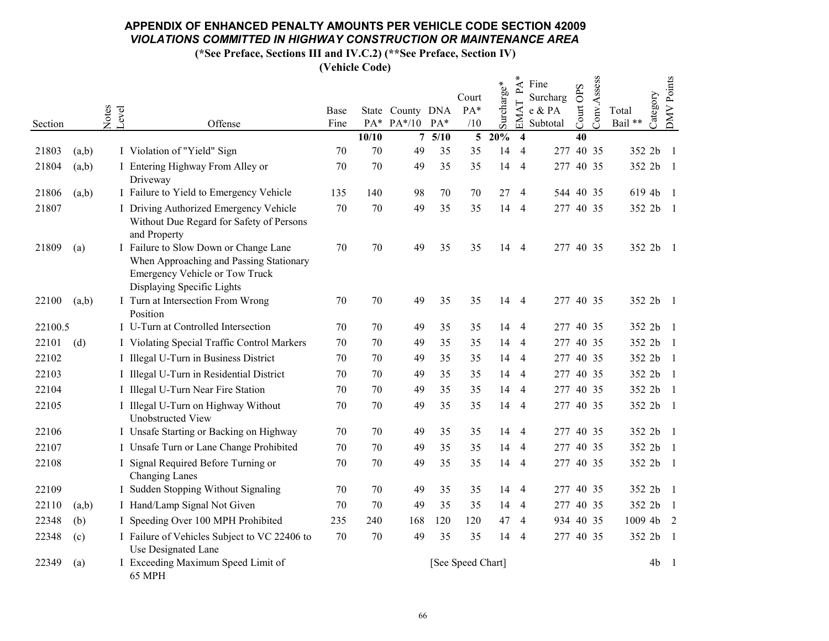(\*See Preface, Sections III and IV.C.2) (\*\*See Preface, Section IV)

|         |       |                |                                                                                                                                                  |      |       |                  |           |                   |            | ∗<br>$\mathbf{P}\mathbf{A}$ | Fine               |           | Conv.Assess |           |          | <b>DMV</b> Points |
|---------|-------|----------------|--------------------------------------------------------------------------------------------------------------------------------------------------|------|-------|------------------|-----------|-------------------|------------|-----------------------------|--------------------|-----------|-------------|-----------|----------|-------------------|
|         |       |                |                                                                                                                                                  | Base |       | State County DNA |           | Court<br>PA*      | Surcharge* | $\vdash$                    | Surcharg<br>e & PA | Court OPS |             | Total     | Category |                   |
| Section |       | Notes<br>Level | Offense                                                                                                                                          | Fine |       | PA* PA*/10 PA*   |           | /10               |            | <b>EMA</b>                  | Subtotal           |           |             | Bail **   |          |                   |
|         |       |                |                                                                                                                                                  |      | 10/10 |                  | $7\;5/10$ | $5\overline{)}$   | 20%        | $\overline{\mathbf{4}}$     |                    | 40        |             |           |          |                   |
| 21803   | (a,b) |                | I Violation of "Yield" Sign                                                                                                                      | 70   | 70    | 49               | 35        | 35                | 14         | $\overline{4}$              | 277 40 35          |           |             | 352 2b    |          | -1                |
| 21804   | (a,b) |                | I Entering Highway From Alley or<br>Driveway                                                                                                     | 70   | 70    | 49               | 35        | 35                | 14         | $\overline{4}$              | 277 40 35          |           |             | 352 2b 1  |          |                   |
| 21806   | (a,b) |                | I Failure to Yield to Emergency Vehicle                                                                                                          | 135  | 140   | 98               | 70        | 70                | 27         | $\overline{4}$              | 544 40 35          |           |             | 619 4b 1  |          |                   |
| 21807   |       |                | I Driving Authorized Emergency Vehicle<br>Without Due Regard for Safety of Persons<br>and Property                                               | 70   | 70    | 49               | 35        | 35                | 14         | $\overline{4}$              | 277 40 35          |           |             | 352 2b    |          | - 1               |
| 21809   | (a)   |                | I Failure to Slow Down or Change Lane<br>When Approaching and Passing Stationary<br>Emergency Vehicle or Tow Truck<br>Displaying Specific Lights | 70   | 70    | 49               | 35        | 35                |            | 14 4                        | 277 40 35          |           |             | 352 2b 1  |          |                   |
| 22100   | (a,b) |                | I Turn at Intersection From Wrong<br>Position                                                                                                    | 70   | 70    | 49               | 35        | 35                | 14         | $\overline{4}$              | 277 40 35          |           |             | 352 2b 1  |          |                   |
| 22100.5 |       |                | I U-Turn at Controlled Intersection                                                                                                              | 70   | 70    | 49               | 35        | 35                | 14         | $\overline{4}$              | 277 40 35          |           |             | 352 2b 1  |          |                   |
| 22101   | (d)   |                | I Violating Special Traffic Control Markers                                                                                                      | 70   | 70    | 49               | 35        | 35                | 14         | $\overline{4}$              | 277 40 35          |           |             | 352 2b    |          | -1                |
| 22102   |       |                | I Illegal U-Turn in Business District                                                                                                            | 70   | 70    | 49               | 35        | 35                | 14         | $\overline{4}$              | 277 40 35          |           |             | 352 2b    |          | -1                |
| 22103   |       |                | I Illegal U-Turn in Residential District                                                                                                         | 70   | 70    | 49               | 35        | 35                | 14         | $\overline{4}$              | 277 40 35          |           |             | 352 2b    |          | $\overline{1}$    |
| 22104   |       |                | I Illegal U-Turn Near Fire Station                                                                                                               | 70   | 70    | 49               | 35        | 35                | 14         | $\overline{4}$              | 277 40 35          |           |             | 352 2b    |          |                   |
| 22105   |       |                | I Illegal U-Turn on Highway Without<br>Unobstructed View                                                                                         | 70   | 70    | 49               | 35        | 35                | 14         | $\overline{4}$              | 277 40 35          |           |             | 352 2b 1  |          |                   |
| 22106   |       |                | I Unsafe Starting or Backing on Highway                                                                                                          | 70   | 70    | 49               | 35        | 35                | 14         | $\overline{4}$              | 277 40 35          |           |             | 352 2b    |          | $\overline{1}$    |
| 22107   |       |                | I Unsafe Turn or Lane Change Prohibited                                                                                                          | 70   | 70    | 49               | 35        | 35                | 14         | $\overline{4}$              | 277 40 35          |           |             | 352 2b    |          | $\overline{1}$    |
| 22108   |       |                | I Signal Required Before Turning or<br><b>Changing Lanes</b>                                                                                     | 70   | 70    | 49               | 35        | 35                | 14         | $\overline{4}$              | 277 40 35          |           |             | 352 2b    |          | - 1               |
| 22109   |       |                | I Sudden Stopping Without Signaling                                                                                                              | 70   | 70    | 49               | 35        | 35                | 14         | $\overline{4}$              | 277 40 35          |           |             | 352 2b 1  |          |                   |
| 22110   | (a,b) |                | I Hand/Lamp Signal Not Given                                                                                                                     | 70   | 70    | 49               | 35        | 35                | 14         | $\overline{4}$              | 277 40 35          |           |             | 352 2b    |          | -1                |
| 22348   | (b)   |                | I Speeding Over 100 MPH Prohibited                                                                                                               | 235  | 240   | 168              | 120       | 120               | 47         | 4                           | 934 40 35          |           |             | 1009 4b 2 |          |                   |
| 22348   | (c)   |                | I Failure of Vehicles Subject to VC 22406 to<br>Use Designated Lane                                                                              | 70   | 70    | 49               | 35        | 35                | 14         | $\overline{4}$              | 277 40 35          |           |             | 352 2b    |          | $\overline{1}$    |
| 22349   | (a)   |                | I Exceeding Maximum Speed Limit of<br>65 MPH                                                                                                     |      |       |                  |           | [See Speed Chart] |            |                             |                    |           |             |           | 4b       | -1                |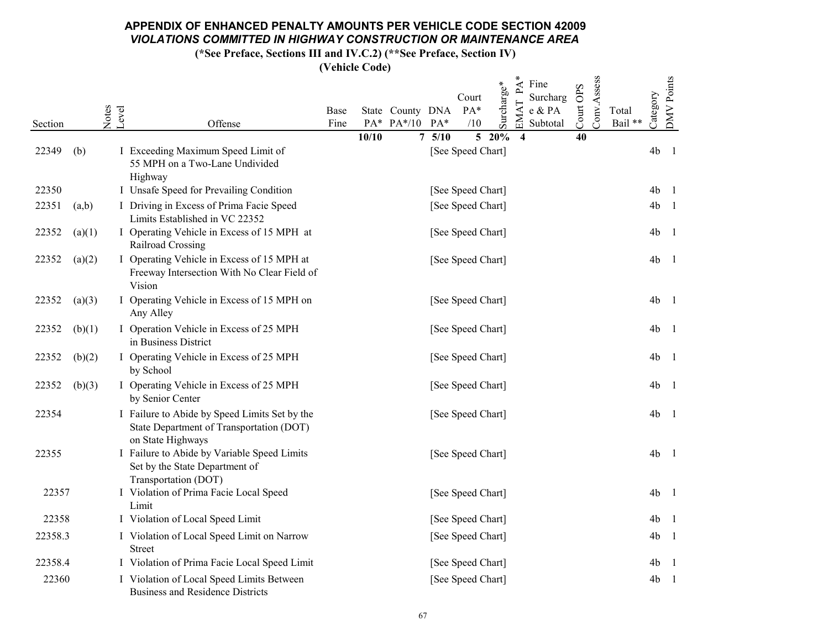(\*See Preface, Sections III and IV.C.2) (\*\*See Preface, Section IV)

|         |        |                |                                                                                                                | Base |       |                  | State County DNA | Court<br>PA*      | Surcharge* | $PA^*$<br>Fine<br>Surcharg<br>EMAT<br>e & PA | Conv.Assess<br>Court OPS | Total   | Category       | <b>DMV</b> Points |
|---------|--------|----------------|----------------------------------------------------------------------------------------------------------------|------|-------|------------------|------------------|-------------------|------------|----------------------------------------------|--------------------------|---------|----------------|-------------------|
| Section |        | Notes<br>Level | Offense                                                                                                        | Fine |       | $PA^*$ $PA^*/10$ | $PA*$            | /10               |            | Subtotal                                     |                          | Bail ** |                |                   |
| 22349   | (b)    |                | I Exceeding Maximum Speed Limit of<br>55 MPH on a Two-Lane Undivided<br>Highway                                |      | 10/10 |                  | 75/10            | [See Speed Chart] | $5\ 20\%$  | $\overline{\mathbf{4}}$                      | 40                       |         | 4 <sub>b</sub> | -1                |
| 22350   |        |                | I Unsafe Speed for Prevailing Condition                                                                        |      |       |                  |                  | [See Speed Chart] |            |                                              |                          |         | 4 <sub>b</sub> | $\overline{1}$    |
| 22351   | (a,b)  |                | I Driving in Excess of Prima Facie Speed<br>Limits Established in VC 22352                                     |      |       |                  |                  | [See Speed Chart] |            |                                              |                          |         | 4 <sub>b</sub> | -1                |
| 22352   | (a)(1) |                | I Operating Vehicle in Excess of 15 MPH at<br>Railroad Crossing                                                |      |       |                  |                  | [See Speed Chart] |            |                                              |                          |         | 4 <sub>b</sub> | -1                |
| 22352   | (a)(2) |                | I Operating Vehicle in Excess of 15 MPH at<br>Freeway Intersection With No Clear Field of<br>Vision            |      |       |                  |                  | [See Speed Chart] |            |                                              |                          |         | 4 <sub>b</sub> | - 1               |
| 22352   | (a)(3) |                | I Operating Vehicle in Excess of 15 MPH on<br>Any Alley                                                        |      |       |                  |                  | [See Speed Chart] |            |                                              |                          |         | 4 <sub>b</sub> | -1                |
| 22352   | (b)(1) |                | I Operation Vehicle in Excess of 25 MPH<br>in Business District                                                |      |       |                  |                  | [See Speed Chart] |            |                                              |                          |         | 4 <sub>b</sub> | -1                |
| 22352   | (b)(2) |                | I Operating Vehicle in Excess of 25 MPH<br>by School                                                           |      |       |                  |                  | [See Speed Chart] |            |                                              |                          |         | 4 <sub>b</sub> | -1                |
| 22352   | (b)(3) |                | I Operating Vehicle in Excess of 25 MPH<br>by Senior Center                                                    |      |       |                  |                  | [See Speed Chart] |            |                                              |                          |         | 4 <sub>b</sub> | -1                |
| 22354   |        |                | I Failure to Abide by Speed Limits Set by the<br>State Department of Transportation (DOT)<br>on State Highways |      |       |                  |                  | [See Speed Chart] |            |                                              |                          |         | 4 <sub>b</sub> | -1                |
| 22355   |        |                | I Failure to Abide by Variable Speed Limits<br>Set by the State Department of<br>Transportation (DOT)          |      |       |                  |                  | [See Speed Chart] |            |                                              |                          |         | 4 <sub>b</sub> | - 1               |
| 22357   |        |                | I Violation of Prima Facie Local Speed<br>Limit                                                                |      |       |                  |                  | [See Speed Chart] |            |                                              |                          |         | 4 <sub>b</sub> | $\overline{1}$    |
| 22358   |        |                | I Violation of Local Speed Limit                                                                               |      |       |                  |                  | [See Speed Chart] |            |                                              |                          |         | 4 <sub>b</sub> | - 1               |
| 22358.3 |        |                | I Violation of Local Speed Limit on Narrow<br>Street                                                           |      |       |                  |                  | [See Speed Chart] |            |                                              |                          |         | 4 <sub>b</sub> | -1                |
| 22358.4 |        |                | I Violation of Prima Facie Local Speed Limit                                                                   |      |       |                  |                  | [See Speed Chart] |            |                                              |                          |         | 4 <sub>b</sub> | $\mathbf{1}$      |
| 22360   |        |                | I Violation of Local Speed Limits Between<br><b>Business and Residence Districts</b>                           |      |       |                  |                  | [See Speed Chart] |            |                                              |                          |         | 4 <sub>b</sub> | -1                |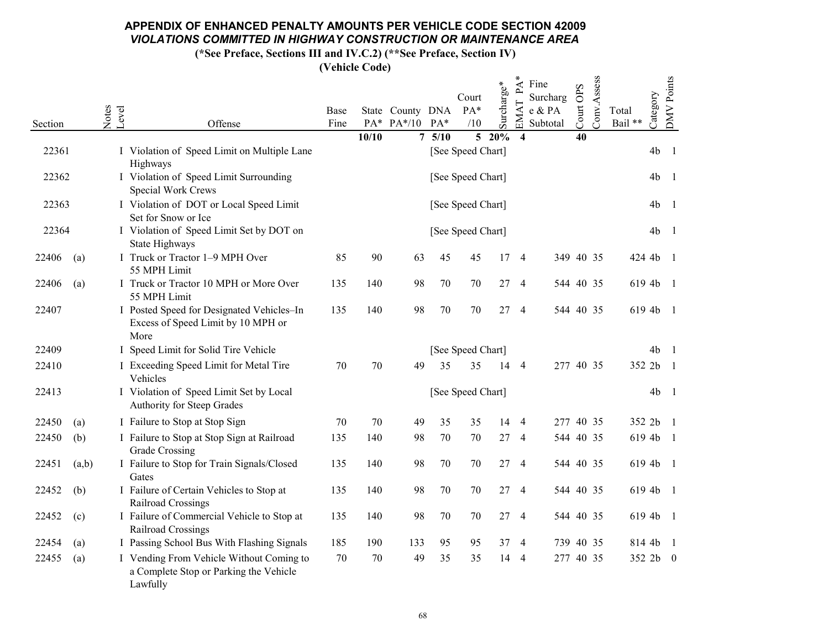(\*See Preface, Sections III and IV.C.2) (\*\*See Preface, Section IV)

|                |                |                                                                                                |      |       |                  |        | Court             |            | ∗<br>PA                 | Fine<br>Surcharg |           | Conv.Assess |          |                | DMV Points     |
|----------------|----------------|------------------------------------------------------------------------------------------------|------|-------|------------------|--------|-------------------|------------|-------------------------|------------------|-----------|-------------|----------|----------------|----------------|
|                | Notes<br>Level |                                                                                                | Base |       | State County DNA |        | PA*               | Surcharge* | EMAT                    | e & PA           | Court OPS |             | Total    | Category       |                |
| Section        |                | Offense                                                                                        | Fine |       | PA* PA*/10 PA*   |        | /10               |            |                         | Subtotal         |           |             | Bail **  |                |                |
| 22361          |                | I Violation of Speed Limit on Multiple Lane                                                    |      | 10/10 |                  | 75/10  | [See Speed Chart] | $5\ 20\%$  | $\overline{\mathbf{4}}$ |                  | 40        |             |          | 4 <sub>b</sub> | -1             |
|                |                | Highways                                                                                       |      |       |                  |        |                   |            |                         |                  |           |             |          |                |                |
| 22362          |                | I Violation of Speed Limit Surrounding<br>Special Work Crews                                   |      |       |                  |        | [See Speed Chart] |            |                         |                  |           |             |          | 4 <sub>b</sub> | -1             |
| 22363          |                | I Violation of DOT or Local Speed Limit<br>Set for Snow or Ice                                 |      |       |                  |        | [See Speed Chart] |            |                         |                  |           |             |          | 4 <sub>b</sub> | -1             |
| 22364          |                | I Violation of Speed Limit Set by DOT on<br>State Highways                                     |      |       |                  |        | [See Speed Chart] |            |                         |                  |           |             |          | 4 <sub>b</sub> | -1             |
| 22406<br>(a)   |                | I Truck or Tractor 1-9 MPH Over<br>55 MPH Limit                                                | 85   | 90    | 63               | 45     | 45                |            | $17 - 4$                |                  | 349 40 35 |             | 424 4b 1 |                |                |
| 22406<br>(a)   |                | I Truck or Tractor 10 MPH or More Over<br>55 MPH Limit                                         | 135  | 140   | 98               | 70     | 70                |            | 27 4                    |                  | 544 40 35 |             | 619 4b 1 |                |                |
| 22407          |                | I Posted Speed for Designated Vehicles-In<br>Excess of Speed Limit by 10 MPH or<br>More        | 135  | 140   | 98               | $70\,$ | 70                | 27         | $\overline{4}$          |                  | 544 40 35 |             | 619 4b 1 |                |                |
| 22409          |                | I Speed Limit for Solid Tire Vehicle                                                           |      |       |                  |        | [See Speed Chart] |            |                         |                  |           |             |          | 4 <sub>b</sub> | $\blacksquare$ |
| 22410          |                | I Exceeding Speed Limit for Metal Tire<br>Vehicles                                             | 70   | 70    | 49               | 35     | 35                |            | 14 4                    |                  | 277 40 35 |             | 352 2b   |                | $\overline{1}$ |
| 22413          |                | I Violation of Speed Limit Set by Local<br>Authority for Steep Grades                          |      |       |                  |        | [See Speed Chart] |            |                         |                  |           |             |          | 4 <sub>b</sub> | -1             |
| 22450<br>(a)   |                | I Failure to Stop at Stop Sign                                                                 | 70   | 70    | 49               | 35     | 35                |            | 14 4                    |                  | 277 40 35 |             |          | 352 2b 1       |                |
| 22450<br>(b)   |                | I Failure to Stop at Stop Sign at Railroad<br>Grade Crossing                                   | 135  | 140   | 98               | 70     | 70                | 27         | $\overline{4}$          |                  | 544 40 35 |             | 619 4b 1 |                |                |
| 22451<br>(a,b) |                | I Failure to Stop for Train Signals/Closed<br>Gates                                            | 135  | 140   | 98               | 70     | 70                |            | $27 - 4$                |                  | 544 40 35 |             | 619 4b 1 |                |                |
| 22452<br>(b)   |                | I Failure of Certain Vehicles to Stop at<br>Railroad Crossings                                 | 135  | 140   | 98               | 70     | 70                |            | 27 4                    |                  | 544 40 35 |             | 619 4b 1 |                |                |
| 22452<br>(c)   |                | I Failure of Commercial Vehicle to Stop at<br>Railroad Crossings                               | 135  | 140   | 98               | 70     | 70                | 27         | 4                       |                  | 544 40 35 |             | 619 4b 1 |                |                |
| 22454<br>(a)   |                | I Passing School Bus With Flashing Signals                                                     | 185  | 190   | 133              | 95     | 95                |            | 37 4                    |                  | 739 40 35 |             | 814 4b   |                | $\blacksquare$ |
| 22455<br>(a)   |                | I Vending From Vehicle Without Coming to<br>a Complete Stop or Parking the Vehicle<br>Lawfully | 70   | 70    | 49               | 35     | 35                |            | 14 4                    |                  | 277 40 35 |             | 352 2b 0 |                |                |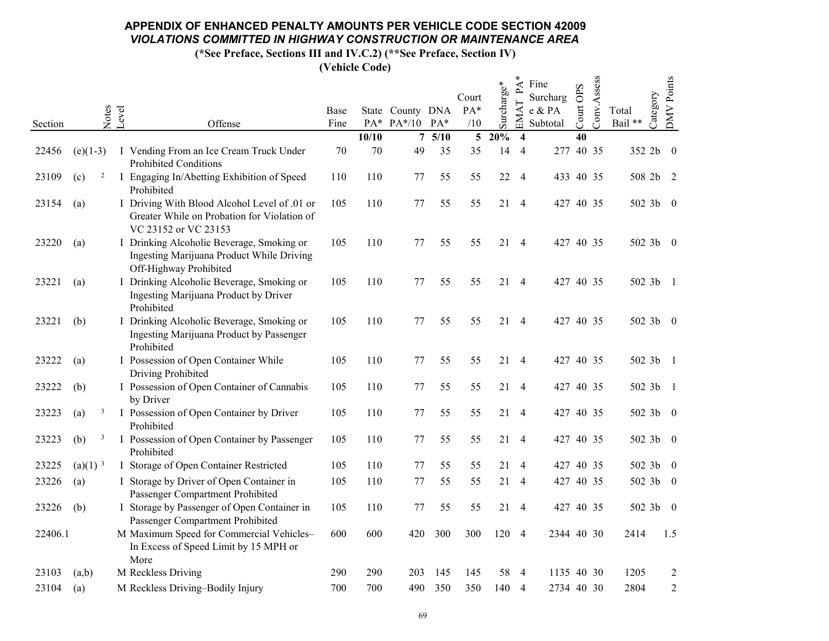(\*See Preface, Sections III and IV.C.2) (\*\*See Preface, Section IV)

|         |                       |       |                                                                                                                     |      |       |                  |       | Court          |            | $\mathbf{P}\mathbf{A}$ | Fine<br>Surcharg |           | Conv.Assess |                   | DMV Points     |
|---------|-----------------------|-------|---------------------------------------------------------------------------------------------------------------------|------|-------|------------------|-------|----------------|------------|------------------------|------------------|-----------|-------------|-------------------|----------------|
|         | Notes                 | Level |                                                                                                                     | Base |       | State County DNA |       | $PA*$          | Surcharge* | EMAT                   | e & PA           | Court OPS |             | Category<br>Total |                |
| Section |                       |       | Offense                                                                                                             | Fine |       | PA* PA*/10 PA*   |       | /10            |            |                        | Subtotal         |           |             | Bail **           |                |
|         |                       |       |                                                                                                                     |      | 10/10 |                  | 75/10 | 5 <sup>5</sup> | 20%        | $\overline{4}$         |                  | 40        |             |                   |                |
| 22456   | $(e)(1-3)$            |       | I Vending From an Ice Cream Truck Under<br><b>Prohibited Conditions</b>                                             | 70   | 70    | 49               | 35    | 35             | 14         | $\overline{4}$         | 277 40 35        |           |             | 352 2b 0          |                |
| 23109   | (c)<br>$\mathbf{Z}$   |       | I Engaging In/Abetting Exhibition of Speed<br>Prohibited                                                            | 110  | 110   | 77               | 55    | 55             |            | 22 4                   |                  |           | 433 40 35   | 508 2b 2          |                |
| 23154   | (a)                   |       | I Driving With Blood Alcohol Level of .01 or<br>Greater While on Probation for Violation of<br>VC 23152 or VC 23153 | 105  | 110   | 77               | 55    | 55             |            | 21 4                   | 427 40 35        |           |             | 502 3b 0          |                |
| 23220   | (a)                   |       | I Drinking Alcoholic Beverage, Smoking or<br>Ingesting Marijuana Product While Driving<br>Off-Highway Prohibited    | 105  | 110   | 77               | 55    | 55             |            | 21 4                   | 427 40 35        |           |             | 502 3b 0          |                |
| 23221   | (a)                   |       | I Drinking Alcoholic Beverage, Smoking or<br>Ingesting Marijuana Product by Driver<br>Prohibited                    | 105  | 110   | 77               | 55    | 55             |            | 21 4                   | 427 40 35        |           |             | 502 3b 1          |                |
| 23221   | (b)                   |       | I Drinking Alcoholic Beverage, Smoking or<br>Ingesting Marijuana Product by Passenger<br>Prohibited                 | 105  | 110   | 77               | 55    | 55             |            | 21 4                   | 427 40 35        |           |             | 502 3b 0          |                |
| 23222   | (a)                   |       | I Possession of Open Container While<br>Driving Prohibited                                                          | 105  | 110   | 77               | 55    | 55             | 21         | 4                      |                  |           | 427 40 35   | 502 3b 1          |                |
| 23222   | (b)                   |       | I Possession of Open Container of Cannabis<br>by Driver                                                             | 105  | 110   | 77               | 55    | 55             |            | 21 4                   |                  |           | 427 40 35   | 502 3b 1          |                |
| 23223   | 3<br>(a)              |       | I Possession of Open Container by Driver<br>Prohibited                                                              | 105  | 110   | 77               | 55    | 55             |            | 21 4                   |                  |           | 427 40 35   | 502 3b 0          |                |
| 23223   | (b)<br>$\mathbf{3}$   |       | I Possession of Open Container by Passenger<br>Prohibited                                                           | 105  | 110   | 77               | 55    | 55             |            | 21 4                   | 427 40 35        |           |             | 502 3b 0          |                |
| 23225   | $(a)(1)$ <sup>3</sup> |       | I Storage of Open Container Restricted                                                                              | 105  | 110   | 77               | 55    | 55             |            | 21 4                   | 427 40 35        |           |             | 502 3b 0          |                |
| 23226   | (a)                   |       | I Storage by Driver of Open Container in<br>Passenger Compartment Prohibited                                        | 105  | 110   | 77               | 55    | 55             |            | 21 4                   |                  |           | 427 40 35   | 502 3b 0          |                |
| 23226   | (b)                   |       | I Storage by Passenger of Open Container in<br>Passenger Compartment Prohibited                                     | 105  | 110   | 77               | 55    | 55             |            | 21 4                   | 427 40 35        |           |             | 502 3b 0          |                |
| 22406.1 |                       |       | M Maximum Speed for Commercial Vehicles-<br>In Excess of Speed Limit by 15 MPH or<br>More                           | 600  | 600   | 420              | 300   | 300            | 120 4      |                        | 2344 40 30       |           |             | 2414              | 1.5            |
| 23103   | (a,b)                 |       | M Reckless Driving                                                                                                  | 290  | 290   | 203              | 145   | 145            | 58         | 4                      | 1135 40 30       |           |             | 1205              | $\overline{2}$ |
| 23104   | (a)                   |       | M Reckless Driving-Bodily Injury                                                                                    | 700  | 700   | 490              | 350   | 350            | 140        | 4                      | 2734 40 30       |           |             | 2804              | $\overline{2}$ |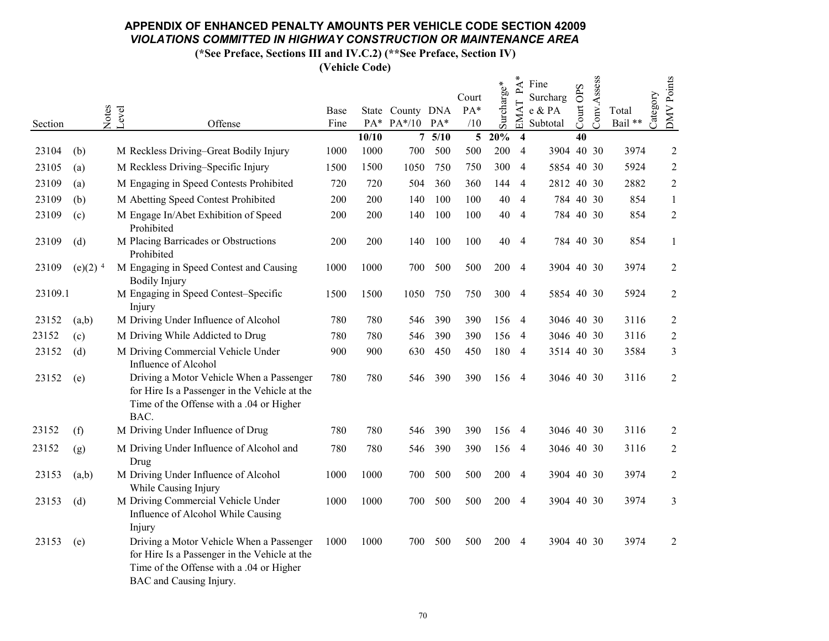(\*See Preface, Sections III and IV.C.2) (\*\*See Preface, Section IV)

|         |                       |                |                                                                                                                                                                  |      |       |                  |         | Court          |            | PA                      | Fine<br>Surcharg |           | Conv.Assess |         | <b>DMV</b> Points |
|---------|-----------------------|----------------|------------------------------------------------------------------------------------------------------------------------------------------------------------------|------|-------|------------------|---------|----------------|------------|-------------------------|------------------|-----------|-------------|---------|-------------------|
|         |                       |                |                                                                                                                                                                  | Base |       | State County DNA |         | $PA*$          | Surcharge* | EMAT                    | e & PA           | Court OPS |             | Total   | Category          |
| Section |                       | Notes<br>Level | Offense                                                                                                                                                          | Fine |       | PA* PA*/10 PA*   |         | /10            |            |                         | Subtotal         |           |             | Bail ** |                   |
|         |                       |                |                                                                                                                                                                  |      | 10/10 |                  | 75/10   | 5 <sup>5</sup> | 20%        | $\overline{\mathbf{4}}$ |                  | 40        |             |         |                   |
| 23104   | (b)                   |                | M Reckless Driving-Great Bodily Injury                                                                                                                           | 1000 | 1000  | 700              | 500     | 500            | 200        | $\overline{4}$          | 3904 40 30       |           |             | 3974    | $\overline{2}$    |
| 23105   | (a)                   |                | M Reckless Driving-Specific Injury                                                                                                                               | 1500 | 1500  | 1050             | 750     | 750            | 300 4      |                         | 5854 40 30       |           |             | 5924    | $\overline{2}$    |
| 23109   | (a)                   |                | M Engaging in Speed Contests Prohibited                                                                                                                          | 720  | 720   | 504              | 360     | 360            | 144 4      |                         | 2812 40 30       |           |             | 2882    | $\overline{2}$    |
| 23109   | (b)                   |                | M Abetting Speed Contest Prohibited                                                                                                                              | 200  | 200   | 140              | 100     | 100            | 40         | $\overline{4}$          | 784 40 30        |           |             | 854     | $\mathbf{1}$      |
| 23109   | (c)                   |                | M Engage In/Abet Exhibition of Speed<br>Prohibited                                                                                                               | 200  | 200   | 140              | 100     | 100            | 40         | $\overline{4}$          | 784 40 30        |           |             | 854     | $\overline{2}$    |
| 23109   | (d)                   |                | M Placing Barricades or Obstructions<br>Prohibited                                                                                                               | 200  | 200   | 140              | 100     | 100            | 40         | $\overline{4}$          | 784 40 30        |           |             | 854     | $\mathbf{1}$      |
| 23109   | $(e)(2)$ <sup>4</sup> |                | M Engaging in Speed Contest and Causing<br><b>Bodily Injury</b>                                                                                                  | 1000 | 1000  | 700              | 500     | 500            | 200        | $\overline{4}$          | 3904 40 30       |           |             | 3974    | $\overline{2}$    |
| 23109.1 |                       |                | M Engaging in Speed Contest-Specific<br>Injury                                                                                                                   | 1500 | 1500  | 1050             | 750     | 750            | 300 4      |                         | 5854 40 30       |           |             | 5924    | $\overline{2}$    |
| 23152   | (a,b)                 |                | M Driving Under Influence of Alcohol                                                                                                                             | 780  | 780   | 546              | 390     | 390            | 156 4      |                         | 3046 40 30       |           |             | 3116    | $\overline{2}$    |
| 23152   | (c)                   |                | M Driving While Addicted to Drug                                                                                                                                 | 780  | 780   | 546              | 390     | 390            | 156        | -4                      | 3046 40 30       |           |             | 3116    | $\sqrt{2}$        |
| 23152   | (d)                   |                | M Driving Commercial Vehicle Under                                                                                                                               | 900  | 900   | 630              | 450     | 450            | 180 4      |                         | 3514 40 30       |           |             | 3584    | $\mathfrak{Z}$    |
|         |                       |                | Influence of Alcohol                                                                                                                                             |      |       |                  |         |                |            |                         |                  |           |             |         |                   |
| 23152   | (e)                   |                | Driving a Motor Vehicle When a Passenger<br>for Hire Is a Passenger in the Vehicle at the<br>Time of the Offense with a .04 or Higher<br>BAC.                    | 780  | 780   | 546              | 390     | 390            | 156 4      |                         | 3046 40 30       |           |             | 3116    | $\sqrt{2}$        |
| 23152   | (f)                   |                | M Driving Under Influence of Drug                                                                                                                                | 780  | 780   | 546              | 390     | 390            | 156 4      |                         | 3046 40 30       |           |             | 3116    | $\overline{2}$    |
| 23152   | (g)                   |                | M Driving Under Influence of Alcohol and<br>Drug                                                                                                                 | 780  | 780   |                  | 546 390 | 390            | 156 4      |                         | 3046 40 30       |           |             | 3116    | $\overline{2}$    |
| 23153   | (a,b)                 |                | M Driving Under Influence of Alcohol<br>While Causing Injury                                                                                                     | 1000 | 1000  | 700              | 500     | 500            | 200 4      |                         | 3904 40 30       |           |             | 3974    | $\sqrt{2}$        |
| 23153   | (d)                   |                | M Driving Commercial Vehicle Under<br>Influence of Alcohol While Causing<br>Injury                                                                               | 1000 | 1000  | 700              | 500     | 500            | 200 4      |                         | 3904 40 30       |           |             | 3974    | $\overline{3}$    |
| 23153   | (e)                   |                | Driving a Motor Vehicle When a Passenger<br>for Hire Is a Passenger in the Vehicle at the<br>Time of the Offense with a .04 or Higher<br>BAC and Causing Injury. | 1000 | 1000  | 700              | 500     | 500            | 200 4      |                         | 3904 40 30       |           |             | 3974    | $\sqrt{2}$        |